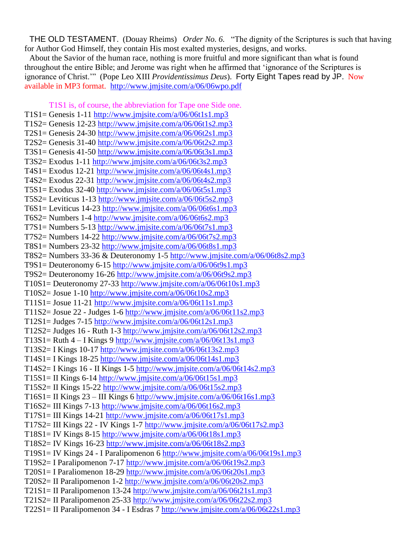THE OLD TESTAMENT. (Douay Rheims) *Order No. 6.* "The dignity of the Scriptures is such that having for Author God Himself, they contain His most exalted mysteries, designs, and works.

About the Savior of the human race, nothing is more fruitful and more significant than what is found throughout the entire Bible; and Jerome was right when he affirmed that "ignorance of the Scriptures is ignorance of Christ."" (Pope Leo XIII *Providentissimus Deus*). Forty Eight Tapes read by JP. Now available in MP3 format. http://www.jmjsite.com/a/06/06wpo.pdf

T1S1 is, of course, the abbreviation for Tape one Side one.  $T1S1 = \text{Genesis } 1-11 \text{ http://www.jmjsite.com/a/06/06t1s1.mp3}$ T1S2= Genesis 12-23 <http://www.jmjsite.com/a/06/06t1s2.mp3> T2S1= Genesis 24-30 http://www.jmjsite.com/a/06/06t2s1.mp3 T2S2= Genesis 31-40<http://www.jmjsite.com/a/06/06t2s2.mp3> T3S1= Genesis 41-50<http://www.jmjsite.com/a/06/06t3s1.mp3> T3S2= Exodus 1-11<http://www.jmjsite.com/a/06/06t3s2.mp3> T4S1= Exodus 12-21<http://www.jmjsite.com/a/06/06t4s1.mp3> T4S2= Exodus 22-31<http://www.jmjsite.com/a/06/06t4s2.mp3> T5S1= Exodus 32-40<http://www.jmjsite.com/a/06/06t5s1.mp3> T5S2= Leviticus 1-13<http://www.jmjsite.com/a/06/06t5s2.mp3> T6S1= Leviticus 14-23<http://www.jmjsite.com/a/06/06t6s1.mp3> T6S2= Numbers 1-4<http://www.jmjsite.com/a/06/06t6s2.mp3> T7S1= Numbers 5-13<http://www.jmjsite.com/a/06/06t7s1.mp3> T7S2= Numbers 14-22<http://www.jmjsite.com/a/06/06t7s2.mp3> T8S1= Numbers 23-32<http://www.jmjsite.com/a/06/06t8s1.mp3> T8S2= Numbers 33-36 & Deuteronomy 1-5<http://www.jmjsite.com/a/06/06t8s2.mp3> T9S1= Deuteronomy 6-15<http://www.jmjsite.com/a/06/06t9s1.mp3> T9S2= Deuteronomy 16-26<http://www.jmjsite.com/a/06/06t9s2.mp3> T $10S1 =$  Deuteronomy 27-33 http://www.jmjsite.com/a/06/06t $10s1$ .mp3 T10S2= Josue 1-10<http://www.jmjsite.com/a/06/06t10s2.mp3> T11S1= Josue 11-21  $\frac{http://www.jmjsite.com/a/06/06t11s1mp3}{http://www.jmjsite.com/a/06/06t11s1mp3}$ T11S2= Josue 22 - Judges 1-6 http://www.jmjsite.com/ $a/06/06t11s2mp3$ T12S1= Judges 7-15<http://www.jmjsite.com/a/06/06t12s1.mp3> T12S2= Judges 16 - Ruth 1-3<http://www.jmjsite.com/a/06/06t12s2.mp3> T13S1= Ruth  $4 - I$  Kings 9<http://www.jmjsite.com/a/06/06t13s1.mp3> T13S2= I Kings 10-17<http://www.jmjsite.com/a/06/06t13s2.mp3> T14S1= I Kings 18-25 <http://www.jmjsite.com/a/06/06t14s1.mp3> T14S2= I Kings 16 - II Kings 1-5<http://www.jmjsite.com/a/06/06t14s2.mp3> T15S1= II Kings 6-14<http://www.jmjsite.com/a/06/06t15s1.mp3> T15S2= II Kings 15-22<http://www.jmjsite.com/a/06/06t15s2.mp3> T16S1= II Kings 23 – III Kings 6<http://www.jmjsite.com/a/06/06t16s1.mp3> T16S2= III Kings 7-13<http://www.jmjsite.com/a/06/06t16s2.mp3>  $T17S1= III$  Kings 14-21<http://www.jmjsite.com/a/06/06t17s1.mp3> T17S2= III Kings 22 - IV Kings 1-7<http://www.jmjsite.com/a/06/06t17s2.mp3> T18S1= IV Kings 8-15<http://www.jmjsite.com/a/06/06t18s1.mp3> T18S2= IV Kings 16-23<http://www.jmjsite.com/a/06/06t18s2.mp3> T19S1= IV Kings 24 - I Paralipomenon 6 <http://www.jmjsite.com/a/06/06t19s1.mp3> T19S2= I Paralipomenon 7-17 <http://www.jmjsite.com/a/06/06t19s2.mp3> T20S1= I Paraliomenon 18-29 <http://www.jmjsite.com/a/06/06t20s1.mp3> T20S2= II Paralipomenon 1-2 <http://www.jmjsite.com/a/06/06t20s2.mp3> T21S1= II Paralipomenon 13-24 <http://www.jmjsite.com/a/06/06t21s1.mp3> T21S2= II Paralipomenon 25-33 <http://www.jmjsite.com/a/06/06t22s2.mp3> T22S1= II Paralipomenon 34 - I Esdras 7 <http://www.jmjsite.com/a/06/06t22s1.mp3>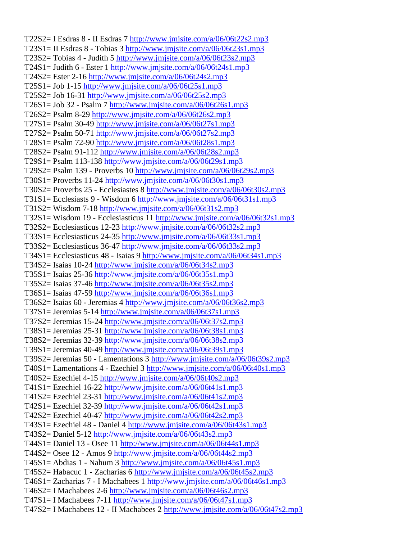T22S2= I Esdras 8 - II Esdras 7 <http://www.jmjsite.com/a/06/06t22s2.mp3> T23S1= II Esdras 8 - Tobias 3  $\frac{http://www.jmjsite.com/a/06/06t23s1.mp3}{http://www.jmjsite.com/a/06/06t23s1.mp3}$  $\frac{http://www.jmjsite.com/a/06/06t23s1.mp3}{http://www.jmjsite.com/a/06/06t23s1.mp3}$  $\frac{http://www.jmjsite.com/a/06/06t23s1.mp3}{http://www.jmjsite.com/a/06/06t23s1.mp3}$ T23S2= Tobias 4 - Judith 5 <http://www.jmjsite.com/a/06/06t23s2.mp3> T24S1= Judith 6 - Ester 1 <http://www.jmjsite.com/a/06/06t24s1.mp3> T24S2= Ester 2-16 <http://www.jmjsite.com/a/06/06t24s2.mp3> T25S1= Job 1-15 <http://www.jmjsite.com/a/06/06t25s1.mp3> T25S2= Job 16-31 <http://www.jmjsite.com/a/06/06t25s2.mp3> T26S1= Job 32 - Psalm 7 <http://www.jmjsite.com/a/06/06t26s1.mp3> T26S2= Psalm 8-29 <http://www.jmjsite.com/a/06/06t26s2.mp3> T27S1= Psalm 30-49 <http://www.jmjsite.com/a/06/06t27s1.mp3> T27S2= Psalm 50-71 <http://www.jmjsite.com/a/06/06t27s2.mp3> T28S1= Psalm 72-90 <http://www.jmjsite.com/a/06/06t28s1.mp3> T28S2= Psalm 91-112 <http://www.jmjsite.com/a/06/06t28s2.mp3> T29S1= Psalm 113-138 <http://www.jmjsite.com/a/06/06t29s1.mp3> T29S2= Psalm 139 - Proverbs 10 <http://www.jmjsite.com/a/06/06t29s2.mp3> T30S1= Proverbs 11-24 <http://www.jmjsite.com/a/06/06t30s1.mp3> T30S2= Proverbs 25 - Ecclesiastes 8 <http://www.jmjsite.com/a/06/06t30s2.mp3> T31S1= Ecclesiasts 9 - Wisdom 6 <http://www.jmjsite.com/a/06/06t31s1.mp3> T31S2= Wisdom 7-18 <http://www.jmjsite.com/a/06/06t31s2.mp3> T32S1= Wisdom 19 - Ecclesiasticus 11 <http://www.jmjsite.com/a/06/06t32s1.mp3> T32S2= Ecclesiasticus 12-23 <http://www.jmjsite.com/a/06/06t32s2.mp3> T33S1= Ecclesiasticus 24-35 <http://www.jmjsite.com/a/06/06t33s1.mp3> T33S2= Ecclesiasticus 36-47 <http://www.jmjsite.com/a/06/06t33s2.mp3> T34S1= Ecclesiasticus 48 - Isaias 9 <http://www.jmjsite.com/a/06/06t34s1.mp3> T34S2= Isaias 10-24 <http://www.jmjsite.com/a/06/06t34s2.mp3> T35S1= Isaias 25-36 <http://www.jmjsite.com/a/06/06t35s1.mp3> T35S2= Isaias 37-46 <http://www.jmjsite.com/a/06/06t35s2.mp3> T36S1= Isaias 47-59 <http://www.jmjsite.com/a/06/06t36s1.mp3> T36S2= Isaias 60 - Jeremias 4 <http://www.jmjsite.com/a/06/06t36s2.mp3> T37S1= Jeremias 5-14 <http://www.jmjsite.com/a/06/06t37s1.mp3> T37S2= Jeremias 15-24 <http://www.jmjsite.com/a/06/06t37s2.mp3> T38S1= Jeremias 25-31 <http://www.jmjsite.com/a/06/06t38s1.mp3> T38S2= Jeremias 32-39 <http://www.jmjsite.com/a/06/06t38s2.mp3> T39S1= Jeremias 40-49 <http://www.jmjsite.com/a/06/06t39s1.mp3> T39S2= Jeremias 50 - Lamentations 3 <http://www.jmjsite.com/a/06/06t39s2.mp3> T40S1= Lamentations 4 - Ezechiel 3 <http://www.jmjsite.com/a/06/06t40s1.mp3> T40S2= Ezechiel 4-15 <http://www.jmjsite.com/a/06/06t40s2.mp3> T41S1= Ezechiel 16-22 <http://www.jmjsite.com/a/06/06t41s1.mp3> T41S2= Ezechiel 23-31 <http://www.jmjsite.com/a/06/06t41s2.mp3> T42S1= Ezechiel 32-39 <http://www.jmjsite.com/a/06/06t42s1.mp3> T42S2= Ezechiel 40-47 <http://www.jmjsite.com/a/06/06t42s2.mp3> T43S1= Ezechiel 48 - Daniel 4 <http://www.jmjsite.com/a/06/06t43s1.mp3> T43S2= Daniel 5-12 <http://www.jmjsite.com/a/06/06t43s2.mp3> T44S1= Daniel 13 - Osee 11 <http://www.jmjsite.com/a/06/06t44s1.mp3> T44S2= Osee 12 - Amos 9 <http://www.jmjsite.com/a/06/06t44s2.mp3> T45S1= Abdias 1 - Nahum 3 http://www.jmisite.com/a/06/06t45s1.mp3 T45S2= Habacuc 1 - Zacharias 6 <http://www.jmjsite.com/a/06/06t45s2.mp3> T46S1= Zacharias 7 - I Machabees 1 <http://www.jmjsite.com/a/06/06t46s1.mp3> T46S2= I Machabees 2-6 <http://www.jmjsite.com/a/06/06t46s2.mp3>  $T47S1 = I$  Machabees 7-11 <http://www.jmjsite.com/a/06/06t47s1.mp3> T47S2= I Machabees 12 - II Machabees 2 <http://www.jmjsite.com/a/06/06t47s2.mp3>